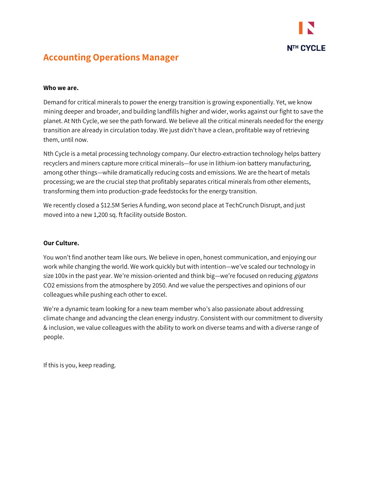

# **Accounting Operations Manager**

## **Who we are.**

Demand for critical minerals to power the energy transition is growing exponentially. Yet, we know mining deeper and broader, and building landfills higher and wider, works against our fight to save the planet. At Nth Cycle, we see the path forward. We believe all the critical minerals needed for the energy transition are already in circulation today. We just didn't have a clean, profitable way of retrieving them, until now.

Nth Cycle is a metal processing technology company. Our electro-extraction technology helps battery recyclers and miners capture more critical minerals—for use in lithium-ion battery manufacturing, among other things—while dramatically reducing costs and emissions. We are the heart of metals processing; we are the crucial step that profitably separates critical minerals from other elements, transforming them into production-grade feedstocks for the energy transition.

We recently closed a \$12.5M Series A funding, won second place at TechCrunch Disrupt, and just moved into a new 1,200 sq. ft facility outside Boston.

# **Our Culture.**

You won't find another team like ours. We believe in open, honest communication, and enjoying our work while changing the world. We work quickly but with intention—we've scaled our technology in size 100x in the past year. We're mission-oriented and think big—we're focused on reducing *gigatons* CO2 emissions from the atmosphere by 2050. And we value the perspectives and opinions of our colleagues while pushing each other to excel.

We're a dynamic team looking for a new team member who's also passionate about addressing climate change and advancing the clean energy industry. Consistent with our commitment to diversity & inclusion, we value colleagues with the ability to work on diverse teams and with a diverse range of people.

If this is you, keep reading.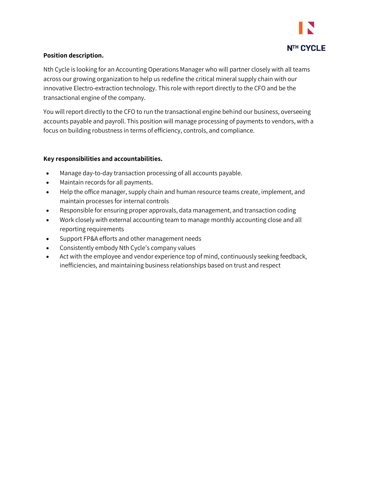

# **Position description.**

Nth Cycle is looking for an Accounting Operations Manager who will partner closely with all teams across our growing organization to help us redefine the critical mineral supply chain with our innovative Electro-extraction technology. This role with report directly to the CFO and be the transactional engine of the company.

You will report directly to the CFO to run the transactional engine behind our business, overseeing accounts payable and payroll. This position will manage processing of payments to vendors, with a focus on building robustness in terms of efficiency, controls, and compliance.

# **Key responsibilities and accountabilities.**

- Manage day-to-day transaction processing of all accounts payable.
- Maintain records for all payments.
- Help the office manager, supply chain and human resource teams create, implement, and maintain processes for internal controls
- Responsible for ensuring proper approvals, data management, and transaction coding
- Work closely with external accounting team to manage monthly accounting close and all reporting requirements
- Support FP&A efforts and other management needs
- Consistently embody Nth Cycle's company values
- Act with the employee and vendor experience top of mind, continuously seeking feedback, inefficiencies, and maintaining business relationships based on trust and respect